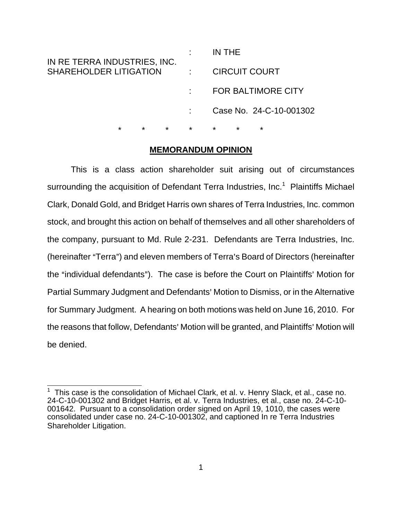| IN RE TERRA INDUSTRIES, INC.  |                | IN THE                    |
|-------------------------------|----------------|---------------------------|
| <b>SHAREHOLDER LITIGATION</b> |                | <b>CIRCUIT COURT</b>      |
|                               |                | <b>FOR BALTIMORE CITY</b> |
|                               |                | Case No. 24-C-10-001302   |
| $\star$<br>$\star$<br>$\star$ | $\star$ $\sim$ | $\star$<br>*<br>$\star$   |

### **MEMORANDUM OPINION**

This is a class action shareholder suit arising out of circumstances surrounding the acquisition of Defendant Terra Industries, Inc.<sup>1</sup> Plaintiffs Michael Clark, Donald Gold, and Bridget Harris own shares of Terra Industries, Inc. common stock, and brought this action on behalf of themselves and all other shareholders of the company, pursuant to Md. Rule 2-231. Defendants are Terra Industries, Inc. (hereinafter "Terra") and eleven members of Terra's Board of Directors (hereinafter the "individual defendants"). The case is before the Court on Plaintiffs' Motion for Partial Summary Judgment and Defendants' Motion to Dismiss, or in the Alternative for Summary Judgment. A hearing on both motions was held on June 16, 2010. For the reasons that follow, Defendants' Motion will be granted, and Plaintiffs' Motion will be denied.

 1 This case is the consolidation of Michael Clark, et al. v. Henry Slack, et al., case no. 24-C-10-001302 and Bridget Harris, et al. v. Terra Industries, et al., case no. 24-C-10- 001642. Pursuant to a consolidation order signed on April 19, 1010, the cases were consolidated under case no. 24-C-10-001302, and captioned In re Terra Industries Shareholder Litigation.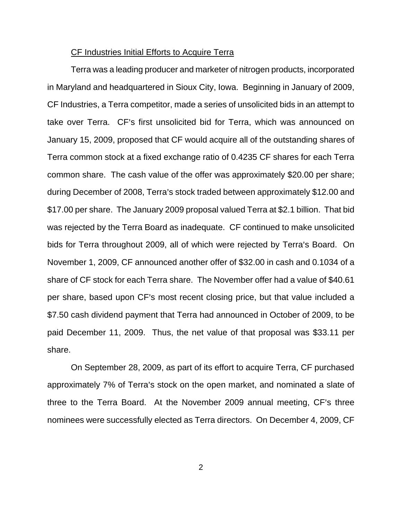#### CF Industries Initial Efforts to Acquire Terra

Terra was a leading producer and marketer of nitrogen products, incorporated in Maryland and headquartered in Sioux City, Iowa. Beginning in January of 2009, CF Industries, a Terra competitor, made a series of unsolicited bids in an attempt to take over Terra. CF's first unsolicited bid for Terra, which was announced on January 15, 2009, proposed that CF would acquire all of the outstanding shares of Terra common stock at a fixed exchange ratio of 0.4235 CF shares for each Terra common share. The cash value of the offer was approximately \$20.00 per share; during December of 2008, Terra's stock traded between approximately \$12.00 and \$17.00 per share. The January 2009 proposal valued Terra at \$2.1 billion. That bid was rejected by the Terra Board as inadequate. CF continued to make unsolicited bids for Terra throughout 2009, all of which were rejected by Terra's Board. On November 1, 2009, CF announced another offer of \$32.00 in cash and 0.1034 of a share of CF stock for each Terra share. The November offer had a value of \$40.61 per share, based upon CF's most recent closing price, but that value included a \$7.50 cash dividend payment that Terra had announced in October of 2009, to be paid December 11, 2009. Thus, the net value of that proposal was \$33.11 per share.

On September 28, 2009, as part of its effort to acquire Terra, CF purchased approximately 7% of Terra's stock on the open market, and nominated a slate of three to the Terra Board. At the November 2009 annual meeting, CF's three nominees were successfully elected as Terra directors. On December 4, 2009, CF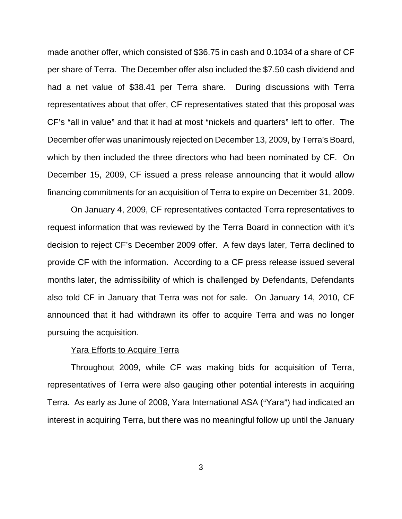made another offer, which consisted of \$36.75 in cash and 0.1034 of a share of CF per share of Terra. The December offer also included the \$7.50 cash dividend and had a net value of \$38.41 per Terra share. During discussions with Terra representatives about that offer, CF representatives stated that this proposal was CF's "all in value" and that it had at most "nickels and quarters" left to offer. The December offer was unanimously rejected on December 13, 2009, by Terra's Board, which by then included the three directors who had been nominated by CF. On December 15, 2009, CF issued a press release announcing that it would allow financing commitments for an acquisition of Terra to expire on December 31, 2009.

On January 4, 2009, CF representatives contacted Terra representatives to request information that was reviewed by the Terra Board in connection with it's decision to reject CF's December 2009 offer. A few days later, Terra declined to provide CF with the information. According to a CF press release issued several months later, the admissibility of which is challenged by Defendants, Defendants also told CF in January that Terra was not for sale. On January 14, 2010, CF announced that it had withdrawn its offer to acquire Terra and was no longer pursuing the acquisition.

### Yara Efforts to Acquire Terra

Throughout 2009, while CF was making bids for acquisition of Terra, representatives of Terra were also gauging other potential interests in acquiring Terra. As early as June of 2008, Yara International ASA ("Yara") had indicated an interest in acquiring Terra, but there was no meaningful follow up until the January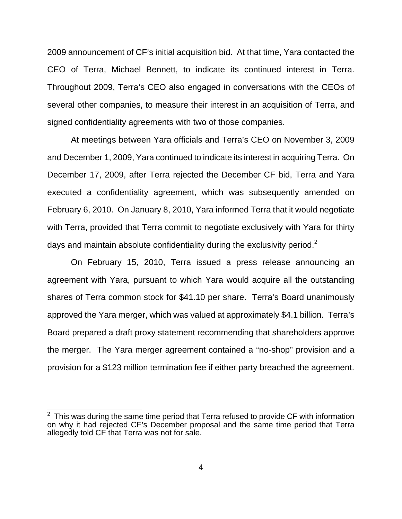2009 announcement of CF's initial acquisition bid. At that time, Yara contacted the CEO of Terra, Michael Bennett, to indicate its continued interest in Terra. Throughout 2009, Terra's CEO also engaged in conversations with the CEOs of several other companies, to measure their interest in an acquisition of Terra, and signed confidentiality agreements with two of those companies.

At meetings between Yara officials and Terra's CEO on November 3, 2009 and December 1, 2009, Yara continued to indicate its interest in acquiring Terra. On December 17, 2009, after Terra rejected the December CF bid, Terra and Yara executed a confidentiality agreement, which was subsequently amended on February 6, 2010. On January 8, 2010, Yara informed Terra that it would negotiate with Terra, provided that Terra commit to negotiate exclusively with Yara for thirty days and maintain absolute confidentiality during the exclusivity period. $2^2$ 

On February 15, 2010, Terra issued a press release announcing an agreement with Yara, pursuant to which Yara would acquire all the outstanding shares of Terra common stock for \$41.10 per share. Terra's Board unanimously approved the Yara merger, which was valued at approximately \$4.1 billion. Terra's Board prepared a draft proxy statement recommending that shareholders approve the merger. The Yara merger agreement contained a "no-shop" provision and a provision for a \$123 million termination fee if either party breached the agreement.

 $\frac{1}{2}$  This was during the same time period that Terra refused to provide CF with information on why it had rejected CF's December proposal and the same time period that Terra allegedly told CF that Terra was not for sale.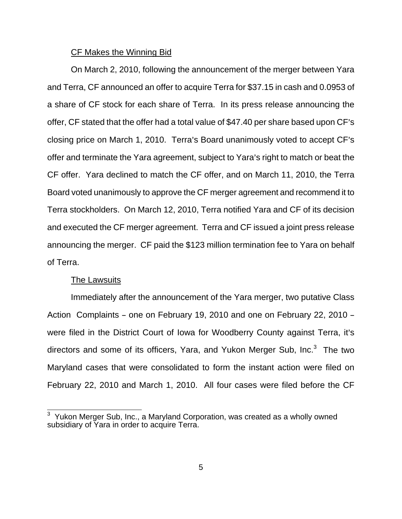#### CF Makes the Winning Bid

On March 2, 2010, following the announcement of the merger between Yara and Terra, CF announced an offer to acquire Terra for \$37.15 in cash and 0.0953 of a share of CF stock for each share of Terra. In its press release announcing the offer, CF stated that the offer had a total value of \$47.40 per share based upon CF's closing price on March 1, 2010. Terra's Board unanimously voted to accept CF's offer and terminate the Yara agreement, subject to Yara's right to match or beat the CF offer. Yara declined to match the CF offer, and on March 11, 2010, the Terra Board voted unanimously to approve the CF merger agreement and recommend it to Terra stockholders. On March 12, 2010, Terra notified Yara and CF of its decision and executed the CF merger agreement. Terra and CF issued a joint press release announcing the merger. CF paid the \$123 million termination fee to Yara on behalf of Terra.

### The Lawsuits

Immediately after the announcement of the Yara merger, two putative Class Action Complaints - one on February 19, 2010 and one on February 22, 2010 were filed in the District Court of Iowa for Woodberry County against Terra, it's directors and some of its officers, Yara, and Yukon Merger Sub, Inc.<sup>3</sup> The two Maryland cases that were consolidated to form the instant action were filed on February 22, 2010 and March 1, 2010. All four cases were filed before the CF

<sup>&</sup>lt;u>3</u><br><sup>3</sup> Yukon Merger Sub, Inc., a Maryland Corporation, was created as a wholly owned subsidiary of Yara in order to acquire Terra.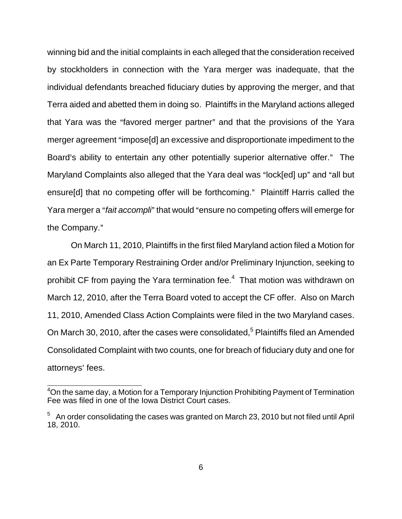winning bid and the initial complaints in each alleged that the consideration received by stockholders in connection with the Yara merger was inadequate, that the individual defendants breached fiduciary duties by approving the merger, and that Terra aided and abetted them in doing so. Plaintiffs in the Maryland actions alleged that Yara was the "favored merger partner" and that the provisions of the Yara merger agreement "impose[d] an excessive and disproportionate impediment to the Board's ability to entertain any other potentially superior alternative offer." The Maryland Complaints also alleged that the Yara deal was "lock[ed] up" and "all but ensure [d] that no competing offer will be forthcoming." Plaintiff Harris called the Yara merger a "*fait accompli*" that would "ensure no competing offers will emerge for the Company."

On March 11, 2010, Plaintiffs in the first filed Maryland action filed a Motion for an Ex Parte Temporary Restraining Order and/or Preliminary Injunction, seeking to prohibit CF from paying the Yara termination fee.<sup>4</sup> That motion was withdrawn on March 12, 2010, after the Terra Board voted to accept the CF offer. Also on March 11, 2010, Amended Class Action Complaints were filed in the two Maryland cases. On March 30, 2010, after the cases were consolidated,<sup>5</sup> Plaintiffs filed an Amended Consolidated Complaint with two counts, one for breach of fiduciary duty and one for attorneys' fees.

 $\overline{\phantom{a}}$ 

<sup>&</sup>lt;sup>4</sup>On the same day, a Motion for a Temporary Injunction Prohibiting Payment of Termination Fee was filed in one of the Iowa District Court cases.

 $5$  An order consolidating the cases was granted on March 23, 2010 but not filed until April 18, 2010.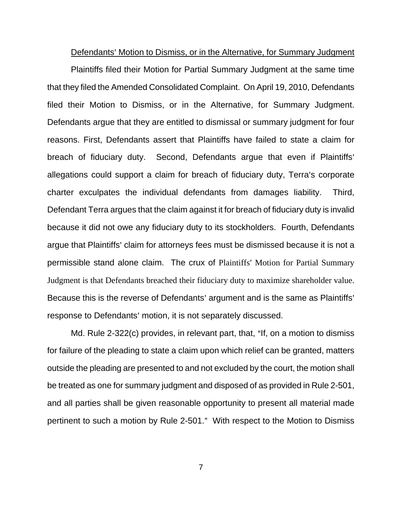Defendants' Motion to Dismiss, or in the Alternative, for Summary Judgment

Plaintiffs filed their Motion for Partial Summary Judgment at the same time that they filed the Amended Consolidated Complaint. On April 19, 2010, Defendants filed their Motion to Dismiss, or in the Alternative, for Summary Judgment. Defendants argue that they are entitled to dismissal or summary judgment for four reasons. First, Defendants assert that Plaintiffs have failed to state a claim for breach of fiduciary duty. Second, Defendants argue that even if Plaintiffs' allegations could support a claim for breach of fiduciary duty, Terra's corporate charter exculpates the individual defendants from damages liability. Third, Defendant Terra argues that the claim against it for breach of fiduciary duty is invalid because it did not owe any fiduciary duty to its stockholders. Fourth, Defendants argue that Plaintiffs' claim for attorneys fees must be dismissed because it is not a permissible stand alone claim. The crux of Plaintiffs' Motion for Partial Summary Judgment is that Defendants breached their fiduciary duty to maximize shareholder value. Because this is the reverse of Defendants' argument and is the same as Plaintiffs' response to Defendants' motion, it is not separately discussed.

Md. Rule 2-322 $(c)$  provides, in relevant part, that, "If, on a motion to dismiss for failure of the pleading to state a claim upon which relief can be granted, matters outside the pleading are presented to and not excluded by the court, the motion shall be treated as one for summary judgment and disposed of as provided in Rule 2-501, and all parties shall be given reasonable opportunity to present all material made pertinent to such a motion by Rule 2-501." With respect to the Motion to Dismiss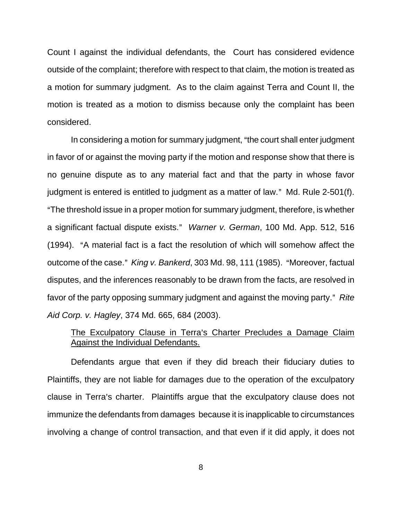Count I against the individual defendants, the Court has considered evidence outside of the complaint; therefore with respect to that claim, the motion is treated as a motion for summary judgment. As to the claim against Terra and Count II, the motion is treated as a motion to dismiss because only the complaint has been considered.

In considering a motion for summary judgment, "the court shall enter judgment in favor of or against the moving party if the motion and response show that there is no genuine dispute as to any material fact and that the party in whose favor judgment is entered is entitled to judgment as a matter of law." Md. Rule 2-501(f). "The threshold issue in a proper motion for summary judgment, therefore, is whether a significant factual dispute exists." Warner v. German, 100 Md. App. 512, 516 (1994). "A material fact is a fact the resolution of which will somehow affect the outcome of the case." King v. Bankerd, 303 Md. 98, 111 (1985). "Moreover, factual disputes, and the inferences reasonably to be drawn from the facts, are resolved in favor of the party opposing summary judgment and against the moving party." Rite *Aid Corp. v. Hagley*, 374 Md. 665, 684 (2003).

# The Exculpatory Clause in Terra's Charter Precludes a Damage Claim Against the Individual Defendants.

Defendants argue that even if they did breach their fiduciary duties to Plaintiffs, they are not liable for damages due to the operation of the exculpatory clause in Terra's charter. Plaintiffs argue that the exculpatory clause does not immunize the defendants from damages because it is inapplicable to circumstances involving a change of control transaction, and that even if it did apply, it does not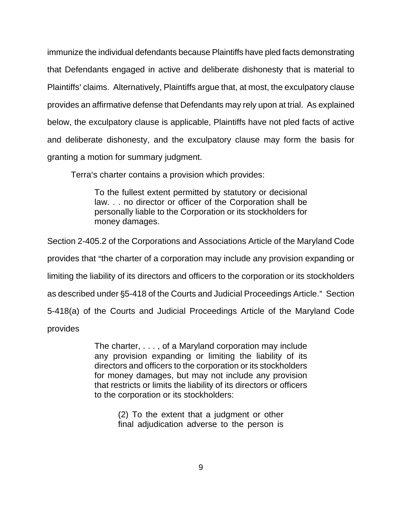immunize the individual defendants because Plaintiffs have pled facts demonstrating that Defendants engaged in active and deliberate dishonesty that is material to Plaintiffs' claims. Alternatively, Plaintiffs argue that, at most, the exculpatory clause provides an affirmative defense that Defendants may rely upon at trial. As explained below, the exculpatory clause is applicable, Plaintiffs have not pled facts of active and deliberate dishonesty, and the exculpatory clause may form the basis for granting a motion for summary judgment.

Terra's charter contains a provision which provides:

To the fullest extent permitted by statutory or decisional law. . . no director or officer of the Corporation shall be personally liable to the Corporation or its stockholders for money damages.

Section 2-405.2 of the Corporations and Associations Article of the Maryland Code provides that "the charter of a corporation may include any provision expanding or limiting the liability of its directors and officers to the corporation or its stockholders as described under \$5-418 of the Courts and Judicial Proceedings Article." Section 5-418(a) of the Courts and Judicial Proceedings Article of the Maryland Code

provides

The charter, . . . , of a Maryland corporation may include any provision expanding or limiting the liability of its directors and officers to the corporation or its stockholders for money damages, but may not include any provision that restricts or limits the liability of its directors or officers to the corporation or its stockholders:

> (2) To the extent that a judgment or other final adjudication adverse to the person is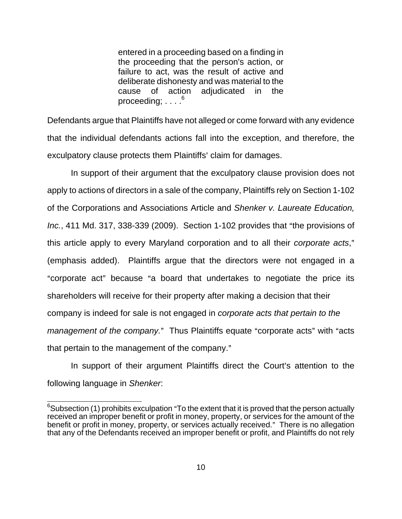entered in a proceeding based on a finding in the proceeding that the person's action, or failure to act, was the result of active and deliberate dishonesty and was material to the cause of action adjudicated in the proceeding;  $\ldots$ <sup>6</sup>

Defendants argue that Plaintiffs have not alleged or come forward with any evidence that the individual defendants actions fall into the exception, and therefore, the exculpatory clause protects them Plaintiffs' claim for damages.

In support of their argument that the exculpatory clause provision does not apply to actions of directors in a sale of the company, Plaintiffs rely on Section 1-102 of the Corporations and Associations Article and *Shenker v. Laureate Education, Inc.*, 411 Md. 317, 338-339 (2009). Section 1-102 provides that "the provisions of this article apply to every Maryland corporation and to all their *corporate acts*," (emphasis added). Plaintiffs argue that the directors were not engaged in a "corporate act" because "a board that undertakes to negotiate the price its shareholders will receive for their property after making a decision that their company is indeed for sale is not engaged in *corporate acts that pertain to the management of the company.*" Thus Plaintiffs equate "corporate acts" with "acts that pertain to the management of the company."

In support of their argument Plaintiffs direct the Court's attention to the following language in *Shenker*:

<sup>&</sup>lt;u>estigaction</u><br>Exabsection (1) prohibits exculpation "To the extent that it is proved that the person actually received an improper benefit or profit in money, property, or services for the amount of the benefit or profit in money, property, or services actually received." There is no allegation that any of the Defendants received an improper benefit or profit, and Plaintiffs do not rely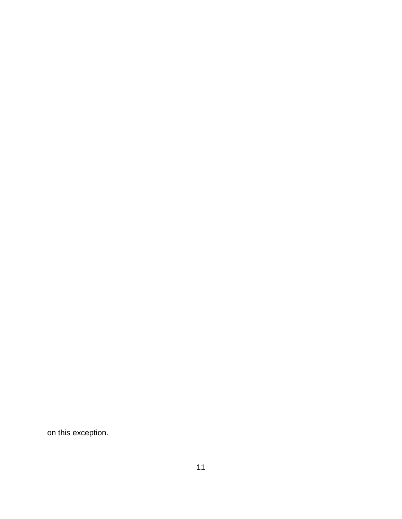on this exception.

 $\overline{a}$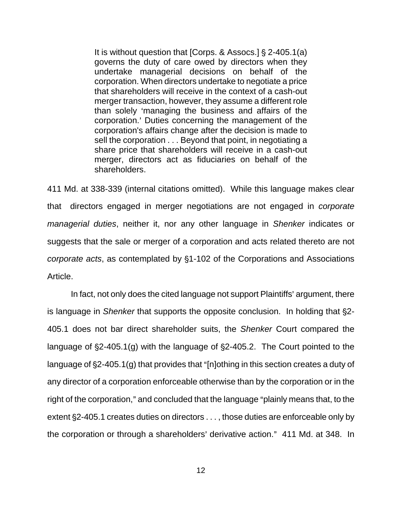It is without question that  $[Corps. 8$  Assocs. $]$  § 2-405.1(a) governs the duty of care owed by directors when they undertake managerial decisions on behalf of the corporation. When directors undertake to negotiate a price that shareholders will receive in the context of a cash-out merger transaction, however, they assume a different role than solely 'managing the business and affairs of the corporation.' Duties concerning the management of the corporation's affairs change after the decision is made to sell the corporation . . . Beyond that point, in negotiating a share price that shareholders will receive in a cash-out merger, directors act as fiduciaries on behalf of the shareholders.

411 Md. at 338-339 (internal citations omitted). While this language makes clear that directors engaged in merger negotiations are not engaged in *corporate managerial duties*, neither it, nor any other language in *Shenker* indicates or suggests that the sale or merger of a corporation and acts related thereto are not *corporate acts*, as contemplated by §1-102 of the Corporations and Associations Article.

In fact, not only does the cited language not support Plaintiffs' argument, there is language in *Shenker* that supports the opposite conclusion. In holding that §2-405.1 does not bar direct shareholder suits, the *Shenker* Court compared the language of  $\S2-405.1(g)$  with the language of  $\S2-405.2$ . The Court pointed to the language of  $\S2-405.1(q)$  that provides that "[n]othing in this section creates a duty of any director of a corporation enforceable otherwise than by the corporation or in the right of the corporation," and concluded that the language "plainly means that, to the extent §2-405.1 creates duties on directors . . . , those duties are enforceable only by the corporation or through a shareholders' derivative action." 411 Md. at 348. In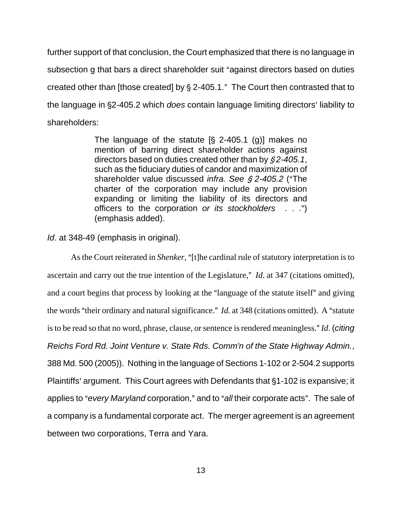further support of that conclusion, the Court emphasized that there is no language in subsection g that bars a direct shareholder suit "against directors based on duties created other than [those created] by  $\S$  2-405.1." The Court then contrasted that to the language in  $\S2-405.2$  which *does* contain language limiting directors' liability to shareholders:

> The language of the statute  $[§ 2-405.1 (g)]$  makes no mention of barring direct shareholder actions against directors based on duties created other than by  $\frac{62-405.1}{6}$ such as the fiduciary duties of candor and maximization of shareholder value discussed *infra.* See § 2-405.2 ("The charter of the corporation may include any provision expanding or limiting the liability of its directors and officers to the corporation *or its stockholders* . . .") (emphasis added).

*Id*. at 348-49 (emphasis in original).

As the Court reiterated in *Shenker*, "[t]he cardinal rule of statutory interpretation is to ascertain and carry out the true intention of the Legislature," *Id.* at 347 (citations omitted), and a court begins that process by looking at the "language of the statute itself" and giving the words "their ordinary and natural significance." *Id.* at 348 (citations omitted). A "statute is to be read so that no word, phrase, clause, or sentence is rendered meaningless." *Id.* (*citing Reichs Ford Rd. Joint Venture v. State Rds. Comm'n of the State Highway Admin.*, 388 Md. 500 (2005)). Nothing in the language of Sections 1-102 or 2-504.2 supports Plaintiffs' argument. This Court agrees with Defendants that §1-102 is expansive; it applies to "every *Maryland* corporation," and to "all their corporate acts". The sale of a company is a fundamental corporate act. The merger agreement is an agreement between two corporations, Terra and Yara.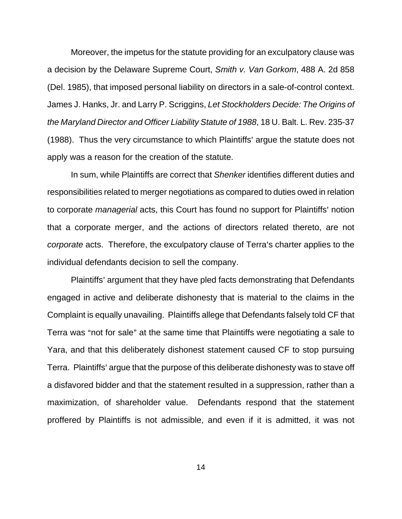Moreover, the impetus for the statute providing for an exculpatory clause was a decision by the Delaware Supreme Court, *Smith v. Van Gorkom*, 488 A. 2d 858 (Del. 1985), that imposed personal liability on directors in a sale-of-control context. James J. Hanks, Jr. and Larry P. Scriggins, *Let Stockholders Decide: The Origins of the Maryland Director and Officer Liability Statute of 1988*, 18 U. Balt. L. Rev. 235-37 (1988). Thus the very circumstance to which Plaintiffs' argue the statute does not apply was a reason for the creation of the statute.

In sum, while Plaintiffs are correct that *Shenker* identifies different duties and responsibilities related to merger negotiations as compared to duties owed in relation to corporate *managerial* acts, this Court has found no support for Plaintiffs' notion that a corporate merger, and the actions of directors related thereto, are not *corporate* acts. Therefore, the exculpatory clause of Terra's charter applies to the individual defendants decision to sell the company.

Plaintiffs' argument that they have pled facts demonstrating that Defendants engaged in active and deliberate dishonesty that is material to the claims in the Complaint is equally unavailing. Plaintiffs allege that Defendants falsely told CF that Terra was "not for sale" at the same time that Plaintiffs were negotiating a sale to Yara, and that this deliberately dishonest statement caused CF to stop pursuing Terra. Plaintiffs' argue that the purpose of this deliberate dishonesty was to stave off a disfavored bidder and that the statement resulted in a suppression, rather than a maximization, of shareholder value. Defendants respond that the statement proffered by Plaintiffs is not admissible, and even if it is admitted, it was not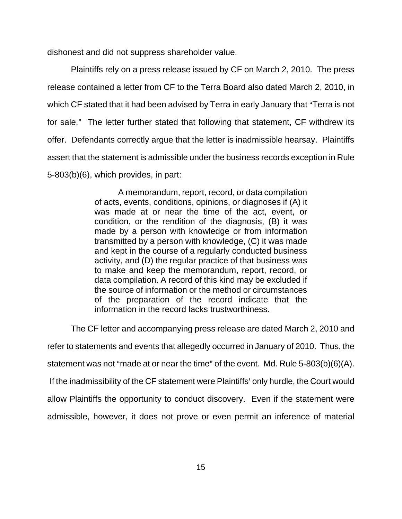dishonest and did not suppress shareholder value.

Plaintiffs rely on a press release issued by CF on March 2, 2010. The press release contained a letter from CF to the Terra Board also dated March 2, 2010, in which CF stated that it had been advised by Terra in early January that "Terra is not for sale." The letter further stated that following that statement, CF withdrew its offer. Defendants correctly argue that the letter is inadmissible hearsay. Plaintiffs assert that the statement is admissible under the business records exception in Rule 5-803(b)(6), which provides, in part:

> A memorandum, report, record, or data compilation of acts, events, conditions, opinions, or diagnoses if (A) it was made at or near the time of the act, event, or condition, or the rendition of the diagnosis, (B) it was made by a person with knowledge or from information transmitted by a person with knowledge, (C) it was made and kept in the course of a regularly conducted business activity, and (D) the regular practice of that business was to make and keep the memorandum, report, record, or data compilation. A record of this kind may be excluded if the source of information or the method or circumstances of the preparation of the record indicate that the information in the record lacks trustworthiness.

The CF letter and accompanying press release are dated March 2, 2010 and refer to statements and events that allegedly occurred in January of 2010. Thus, the statement was not "made at or near the time" of the event. Md. Rule  $5-803(b)(6)(A)$ . If the inadmissibility of the CF statement were Plaintiffs' only hurdle, the Court would allow Plaintiffs the opportunity to conduct discovery. Even if the statement were admissible, however, it does not prove or even permit an inference of material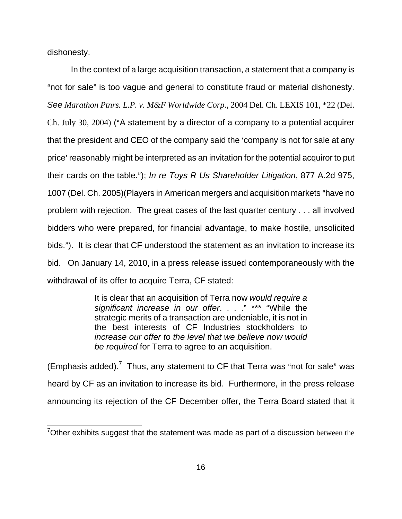dishonesty.

In the context of a large acquisition transaction, a statement that a company is "not for sale" is too vague and general to constitute fraud or material dishonesty. *See Marathon Ptnrs. L.P. v. M&F Worldwide Corp*., 2004 Del. Ch. LEXIS 101, \*22 (Del. Ch. July 30, 2004) ( $A$  statement by a director of a company to a potential acquirer that the president and CEO of the company said the 'company is not for sale at any price' reasonably might be interpreted as an invitation for the potential acquiror to put their cards on the table.@); *In re Toys R Us Shareholder Litigation*, 877 A.2d 975, 1007 (Del. Ch. 2005) (Players in American mergers and acquisition markets "have no problem with rejection. The great cases of the last quarter century . . . all involved bidders who were prepared, for financial advantage, to make hostile, unsolicited bids."). It is clear that CF understood the statement as an invitation to increase its bid. On January 14, 2010, in a press release issued contemporaneously with the withdrawal of its offer to acquire Terra, CF stated:

> It is clear that an acquisition of Terra now *would require a*  significant increase in our offer. . . ." \*\*\* "While the strategic merits of a transaction are undeniable, it is not in the best interests of CF Industries stockholders to *increase our offer to the level that we believe now would be required* for Terra to agree to an acquisition.

(Emphasis added).<sup>7</sup> Thus, any statement to CF that Terra was "not for sale" was heard by CF as an invitation to increase its bid. Furthermore, in the press release announcing its rejection of the CF December offer, the Terra Board stated that it

**TELECT**<br>Tother exhibits suggest that the statement was made as part of a discussion between the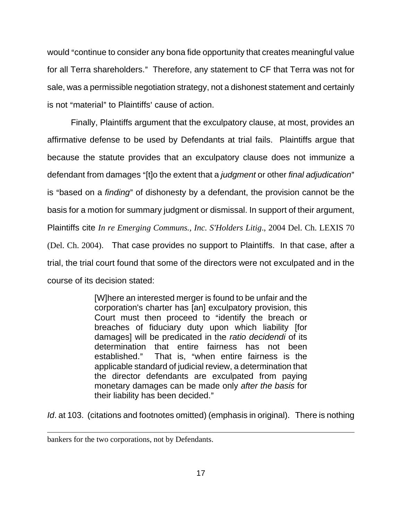would "continue to consider any bona fide opportunity that creates meaningful value for all Terra shareholders." Therefore, any statement to CF that Terra was not for sale, was a permissible negotiation strategy, not a dishonest statement and certainly is not "material" to Plaintiffs' cause of action.

Finally, Plaintiffs argument that the exculpatory clause, at most, provides an affirmative defense to be used by Defendants at trial fails. Plaintiffs argue that because the statute provides that an exculpatory clause does not immunize a defendant from damages "[t]o the extent that a *judgment* or other *final adjudication*" is "based on a *finding*" of dishonesty by a defendant, the provision cannot be the basis for a motion for summary judgment or dismissal. In support of their argument, Plaintiffs cite *In re Emerging Communs., Inc. S'Holders Litig*., 2004 Del. Ch. LEXIS 70 (Del. Ch. 2004). That case provides no support to Plaintiffs. In that case, after a trial, the trial court found that some of the directors were not exculpated and in the course of its decision stated:

> [W]here an interested merger is found to be unfair and the corporation's charter has [an] exculpatory provision, this Court must then proceed to "identify the breach or breaches of fiduciary duty upon which liability [for damages] will be predicated in the *ratio decidendi* of its determination that entire fairness has not been established." That is, "when entire fairness is the applicable standard of judicial review, a determination that the director defendants are exculpated from paying monetary damages can be made only *after the basis* for their liability has been decided."

*Id*. at 103.(citations and footnotes omitted) (emphasis in original). There is nothing

 $\overline{a}$ 

bankers for the two corporations, not by Defendants.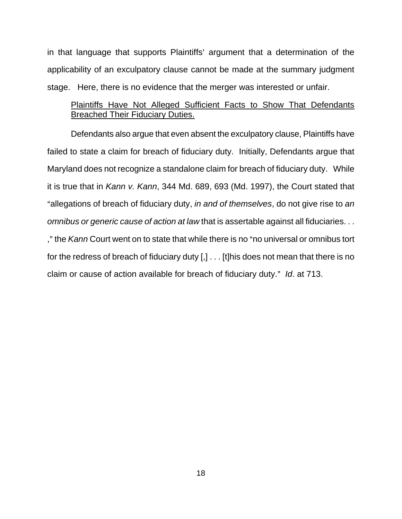in that language that supports Plaintiffs' argument that a determination of the applicability of an exculpatory clause cannot be made at the summary judgment stage. Here, there is no evidence that the merger was interested or unfair.

## Plaintiffs Have Not Alleged Sufficient Facts to Show That Defendants Breached Their Fiduciary Duties.

Defendants also argue that even absent the exculpatory clause, Plaintiffs have failed to state a claim for breach of fiduciary duty. Initially, Defendants argue that Maryland does not recognize a standalone claim for breach of fiduciary duty. While it is true that in *Kann v. Kann*, 344 Md. 689, 693 (Md. 1997), the Court stated that Aallegations of breach of fiduciary duty, *in and of themselves*, do not give rise to *an omnibus or generic cause of action at law* that is assertable against all fiduciaries. . . ," the *Kann* Court went on to state that while there is no "no universal or omnibus tort for the redress of breach of fiduciary duty [,] . . . [t]his does not mean that there is no claim or cause of action available for breach of fiduciary duty." *Id.* at 713.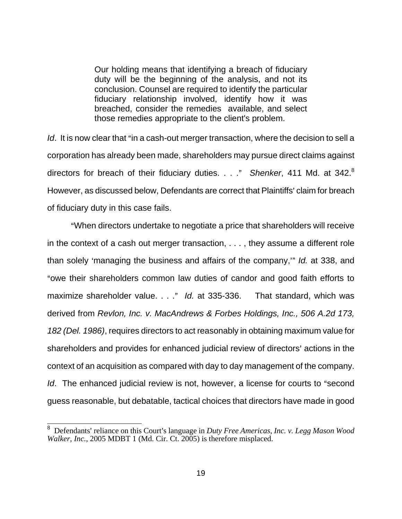Our holding means that identifying a breach of fiduciary duty will be the beginning of the analysis, and not its conclusion. Counsel are required to identify the particular fiduciary relationship involved, identify how it was breached, consider the remedies available, and select those remedies appropriate to the client's problem.

*Id*. It is now clear that "in a cash-out merger transaction, where the decision to sell a corporation has already been made, shareholders may pursue direct claims against directors for breach of their fiduciary duties. . . ." Shenker, 411 Md. at 342.<sup>8</sup> However, as discussed below, Defendants are correct that Plaintiffs' claim for breach of fiduciary duty in this case fails.

"When directors undertake to negotiate a price that shareholders will receive in the context of a cash out merger transaction, . . . , they assume a different role than solely 'managing the business and affairs of the company,'" *Id.* at 338, and "owe their shareholders common law duties of candor and good faith efforts to maximize shareholder value. . . ." *Id.* at 335-336. That standard, which was derived from *Revlon, Inc. v. MacAndrews & Forbes Holdings, Inc., 506 A.2d 173, 182 (Del. 1986)*, requires directors to act reasonably in obtaining maximum value for shareholders and provides for enhanced judicial review of directors' actions in the context of an acquisition as compared with day to day management of the company. *Id.* The enhanced judicial review is not, however, a license for courts to "second guess reasonable, but debatable, tactical choices that directors have made in good

<sup>&</sup>lt;sup>8</sup> Defendants' reliance on this Court's language in *Duty Free Americas, Inc. v. Legg Mason Wood Walker, Inc.*, 2005 MDBT 1 (Md. Cir. Ct. 2005) is therefore misplaced.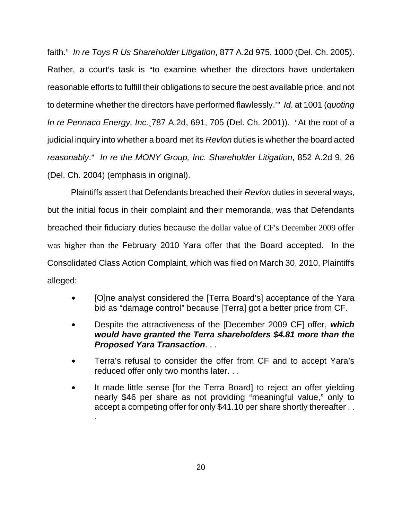faith.@ *In re Toys R Us Shareholder Litigation*, 877 A.2d 975, 1000 (Del. Ch. 2005). Rather, a court's task is "to examine whether the directors have undertaken reasonable efforts to fulfill their obligations to secure the best available price, and not to determine whether the directors have performed flawlessly.<sup>3</sup> Id. at 1001 (*quoting In re Pennaco Energy, Inc.* 787 A.2d, 691, 705 (Del. Ch. 2001)). "At the root of a judicial inquiry into whether a board met its *Revlon* duties is whether the board acted *reasonably*.@ *In re the MONY Group, Inc. Shareholder Litigation*, 852 A.2d 9, 26 (Del. Ch. 2004) (emphasis in original).

Plaintiffs assert that Defendants breached their *Revlon* duties in several ways, but the initial focus in their complaint and their memoranda, was that Defendants breached their fiduciary duties because the dollar value of CF's December 2009 offer was higher than the February 2010 Yara offer that the Board accepted. In the Consolidated Class Action Complaint, which was filed on March 30, 2010, Plaintiffs alleged:

- [O]ne analyst considered the [Terra Board's] acceptance of the Yara bid as "damage control" because [Terra] got a better price from CF.
- **•** Despite the attractiveness of the [December 2009 CF] offer, *which would have granted the Terra shareholders \$4.81 more than the Proposed Yara Transaction*. . .
- Terra's refusal to consider the offer from CF and to accept Yara's reduced offer only two months later. . .
- It made little sense [for the Terra Board] to reject an offer yielding nearly \$46 per share as not providing "meaningful value," only to accept a competing offer for only \$41.10 per share shortly thereafter . . .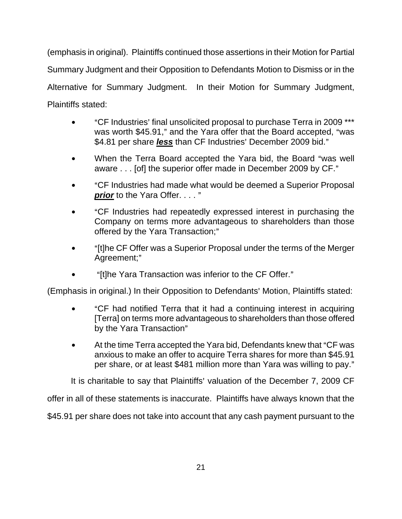(emphasis in original). Plaintiffs continued those assertions in their Motion for Partial Summary Judgment and their Opposition to Defendants Motion to Dismiss or in the Alternative for Summary Judgment. In their Motion for Summary Judgment, Plaintiffs stated:

- "CF Industries' final unsolicited proposal to purchase Terra in 2009 \*\*\* was worth \$45.91," and the Yara offer that the Board accepted, "was \$4.81 per share *less* than CF Industries' December 2009 bid."
- When the Terra Board accepted the Yara bid, the Board "was well aware . . . [of] the superior offer made in December 2009 by CF."
- "CF Industries had made what would be deemed a Superior Proposal *prior* to the Yara Offer. . . . "
- "CF Industries had repeatedly expressed interest in purchasing the Company on terms more advantageous to shareholders than those offered by the Yara Transaction;"
- "[t]he CF Offer was a Superior Proposal under the terms of the Merger Agreement;"
- "It the Yara Transaction was inferior to the CF Offer."

(Emphasis in original.) In their Opposition to Defendants' Motion, Plaintiffs stated:

- "CF had notified Terra that it had a continuing interest in acquiring [Terra] on terms more advantageous to shareholders than those offered by the Yara Transaction"
- At the time Terra accepted the Yara bid, Defendants knew that "CF was anxious to make an offer to acquire Terra shares for more than \$45.91 per share, or at least \$481 million more than Yara was willing to pay."

It is charitable to say that Plaintiffs' valuation of the December 7, 2009 CF

offer in all of these statements is inaccurate. Plaintiffs have always known that the

\$45.91 per share does not take into account that any cash payment pursuant to the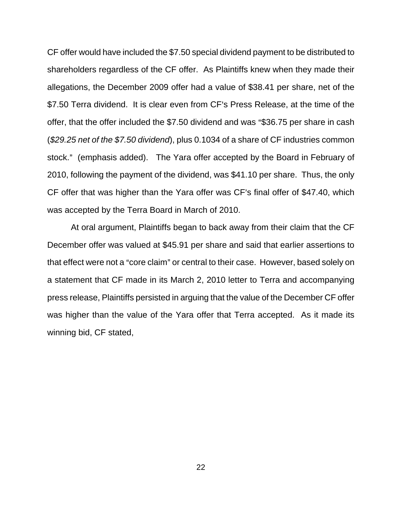CF offer would have included the \$7.50 special dividend payment to be distributed to shareholders regardless of the CF offer. As Plaintiffs knew when they made their allegations, the December 2009 offer had a value of \$38.41 per share, net of the \$7.50 Terra dividend. It is clear even from CF's Press Release, at the time of the offer, that the offer included the  $$7.50$  dividend and was "\$36.75 per share in cash (*\$29.25 net of the \$7.50 dividend*), plus 0.1034 of a share of CF industries common stock." (emphasis added). The Yara offer accepted by the Board in February of 2010, following the payment of the dividend, was \$41.10 per share. Thus, the only CF offer that was higher than the Yara offer was CF's final offer of \$47.40, which was accepted by the Terra Board in March of 2010.

At oral argument, Plaintiffs began to back away from their claim that the CF December offer was valued at \$45.91 per share and said that earlier assertions to that effect were not a "core claim" or central to their case. However, based solely on a statement that CF made in its March 2, 2010 letter to Terra and accompanying press release, Plaintiffs persisted in arguing that the value of the December CF offer was higher than the value of the Yara offer that Terra accepted. As it made its winning bid, CF stated,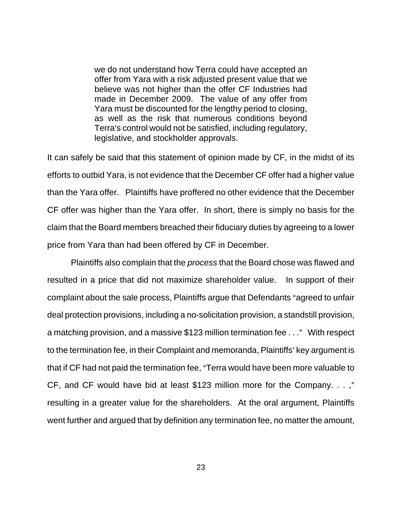we do not understand how Terra could have accepted an offer from Yara with a risk adjusted present value that we believe was not higher than the offer CF Industries had made in December 2009. The value of any offer from Yara must be discounted for the lengthy period to closing, as well as the risk that numerous conditions beyond Terra's control would not be satisfied, including regulatory, legislative, and stockholder approvals.

It can safely be said that this statement of opinion made by CF, in the midst of its efforts to outbid Yara, is not evidence that the December CF offer had a higher value than the Yara offer. Plaintiffs have proffered no other evidence that the December CF offer was higher than the Yara offer. In short, there is simply no basis for the claim that the Board members breached their fiduciary duties by agreeing to a lower price from Yara than had been offered by CF in December.

Plaintiffs also complain that the *process* that the Board chose was flawed and resulted in a price that did not maximize shareholder value. In support of their complaint about the sale process, Plaintiffs argue that Defendants "agreed to unfair deal protection provisions, including a no-solicitation provision, a standstill provision, a matching provision, and a massive \$123 million termination fee  $\dots$ " With respect to the termination fee, in their Complaint and memoranda, Plaintiffs' key argument is that if CF had not paid the termination fee, "Terra would have been more valuable to CF, and CF would have bid at least \$123 million more for the Company.  $\dots$ ," resulting in a greater value for the shareholders. At the oral argument, Plaintiffs went further and argued that by definition any termination fee, no matter the amount,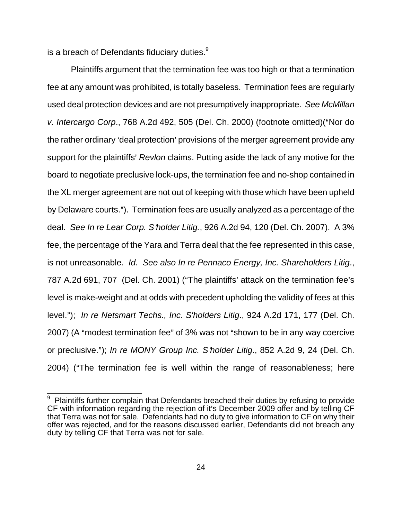is a breach of Defendants fiduciary duties. $9$ 

Plaintiffs argument that the termination fee was too high or that a termination fee at any amount was prohibited, is totally baseless. Termination fees are regularly used deal protection devices and are not presumptively inappropriate. *See McMillan v. Intercargo Corp., 768 A.2d 492, 505 (Del. Ch. 2000) (footnote omitted)* ("Nor do the rather ordinary 'deal protection' provisions of the merger agreement provide any support for the plaintiffs' *Revlon* claims. Putting aside the lack of any motive for the board to negotiate preclusive lock-ups, the termination fee and no-shop contained in the XL merger agreement are not out of keeping with those which have been upheld by Delaware courts."). Termination fees are usually analyzed as a percentage of the deal. *See In re Lear Corp. S*=*holder Litig.*, 926 A.2d 94, 120 (Del. Ch. 2007). A 3% fee, the percentage of the Yara and Terra deal that the fee represented in this case, is not unreasonable. *Id. See also In re Pennaco Energy, Inc. Shareholders Litig*., 787 A.2d 691, 707 (Del. Ch. 2001) ("The plaintiffs' attack on the termination fee's level is make-weight and at odds with precedent upholding the validity of fees at this level."); *In re Netsmart Techs., Inc. S'holders Litig.*, 924 A.2d 171, 177 (Del. Ch. 2007) (A "modest termination fee" of 3% was not "shown to be in any way coercive or preclusive.@); *In re MONY Group Inc. S*=*holder Litig*., 852 A.2d 9, 24 (Del. Ch. 2004) ("The termination fee is well within the range of reasonableness; here

**Produce 1**<br><sup>9</sup> Plaintiffs further complain that Defendants breached their duties by refusing to provide CF with information regarding the rejection of it's December 2009 offer and by telling CF that Terra was not for sale. Defendants had no duty to give information to CF on why their offer was rejected, and for the reasons discussed earlier, Defendants did not breach any duty by telling CF that Terra was not for sale.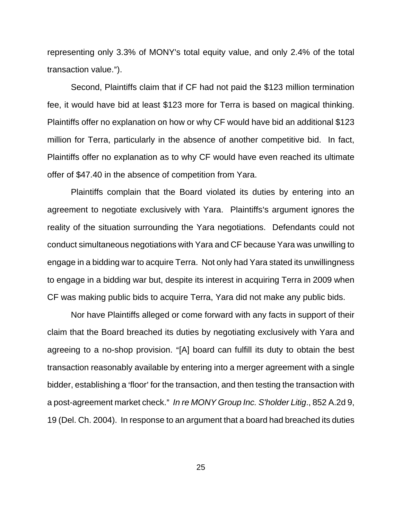representing only 3.3% of MONY's total equity value, and only 2.4% of the total transaction value.").

Second, Plaintiffs claim that if CF had not paid the \$123 million termination fee, it would have bid at least \$123 more for Terra is based on magical thinking. Plaintiffs offer no explanation on how or why CF would have bid an additional \$123 million for Terra, particularly in the absence of another competitive bid. In fact, Plaintiffs offer no explanation as to why CF would have even reached its ultimate offer of \$47.40 in the absence of competition from Yara.

Plaintiffs complain that the Board violated its duties by entering into an agreement to negotiate exclusively with Yara. Plaintiffs's argument ignores the reality of the situation surrounding the Yara negotiations. Defendants could not conduct simultaneous negotiations with Yara and CF because Yara was unwilling to engage in a bidding war to acquire Terra. Not only had Yara stated its unwillingness to engage in a bidding war but, despite its interest in acquiring Terra in 2009 when CF was making public bids to acquire Terra, Yara did not make any public bids.

Nor have Plaintiffs alleged or come forward with any facts in support of their claim that the Board breached its duties by negotiating exclusively with Yara and agreeing to a no-shop provision. "[A] board can fulfill its duty to obtain the best transaction reasonably available by entering into a merger agreement with a single bidder, establishing a 'floor' for the transaction, and then testing the transaction with a post-agreement market check." In re MONY Group Inc. S'holder Litig., 852 A.2d 9, 19 (Del. Ch. 2004). In response to an argument that a board had breached its duties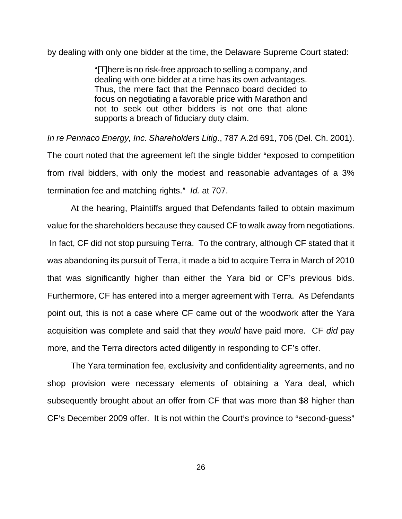by dealing with only one bidder at the time, the Delaware Supreme Court stated:

"[T]here is no risk-free approach to selling a company, and dealing with one bidder at a time has its own advantages. Thus, the mere fact that the Pennaco board decided to focus on negotiating a favorable price with Marathon and not to seek out other bidders is not one that alone supports a breach of fiduciary duty claim.

*In re Pennaco Energy, Inc. Shareholders Litig*., 787 A.2d 691, 706 (Del. Ch. 2001). The court noted that the agreement left the single bidder "exposed to competition from rival bidders, with only the modest and reasonable advantages of a 3% termination fee and matching rights." *Id.* at 707.

At the hearing, Plaintiffs argued that Defendants failed to obtain maximum value for the shareholders because they caused CF to walk away from negotiations. In fact, CF did not stop pursuing Terra. To the contrary, although CF stated that it was abandoning its pursuit of Terra, it made a bid to acquire Terra in March of 2010 that was significantly higher than either the Yara bid or CF's previous bids. Furthermore, CF has entered into a merger agreement with Terra. As Defendants point out, this is not a case where CF came out of the woodwork after the Yara acquisition was complete and said that they *would* have paid more. CF *did* pay more, and the Terra directors acted diligently in responding to CF's offer.

The Yara termination fee, exclusivity and confidentiality agreements, and no shop provision were necessary elements of obtaining a Yara deal, which subsequently brought about an offer from CF that was more than \$8 higher than CF's December 2009 offer. It is not within the Court's province to "second-guess"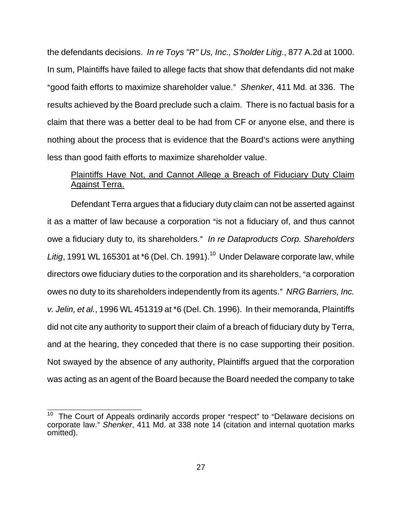the defendants decisions. *In re Toys "R" Us, Inc., S'holder Litig*., 877 A.2d at 1000. In sum, Plaintiffs have failed to allege facts that show that defendants did not make Agood faith efforts to maximize shareholder value.@ *Shenker*, 411 Md. at 336. The results achieved by the Board preclude such a claim. There is no factual basis for a claim that there was a better deal to be had from CF or anyone else, and there is nothing about the process that is evidence that the Board's actions were anything less than good faith efforts to maximize shareholder value.

# Plaintiffs Have Not, and Cannot Allege a Breach of Fiduciary Duty Claim Against Terra.

Defendant Terra argues that a fiduciary duty claim can not be asserted against it as a matter of law because a corporation "is not a fiduciary of, and thus cannot owe a fiduciary duty to, its shareholders." In re Dataproducts Corp. Shareholders Litig, 1991 WL 165301 at \*6 (Del. Ch. 1991).<sup>10</sup> Under Delaware corporate law, while directors owe fiduciary duties to the corporation and its shareholders, "a corporation owes no duty to its shareholders independently from its agents." NRG Barriers, Inc. *v. Jelin, et al.*, 1996 WL 451319 at \*6 (Del. Ch. 1996). In their memoranda, Plaintiffs did not cite any authority to support their claim of a breach of fiduciary duty by Terra, and at the hearing, they conceded that there is no case supporting their position. Not swayed by the absence of any authority, Plaintiffs argued that the corporation was acting as an agent of the Board because the Board needed the company to take

 $\overline{a}$ 

The Court of Appeals ordinarily accords proper "respect" to "Delaware decisions on corporate law." Shenker, 411 Md. at 338 note 14 (citation and internal quotation marks omitted).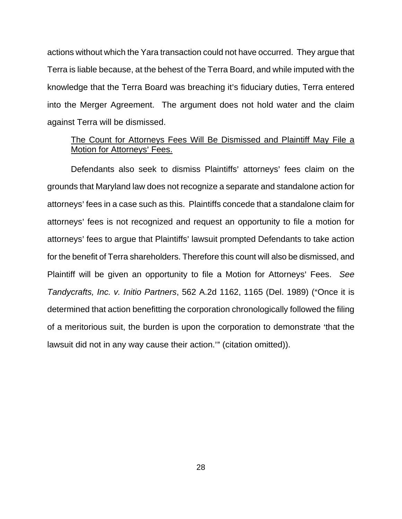actions without which the Yara transaction could not have occurred. They argue that Terra is liable because, at the behest of the Terra Board, and while imputed with the knowledge that the Terra Board was breaching it's fiduciary duties, Terra entered into the Merger Agreement. The argument does not hold water and the claim against Terra will be dismissed.

## The Count for Attorneys Fees Will Be Dismissed and Plaintiff May File a Motion for Attorneys' Fees.

Defendants also seek to dismiss Plaintiffs' attorneys' fees claim on the grounds that Maryland law does not recognize a separate and standalone action for attorneys' fees in a case such as this. Plaintiffs concede that a standalone claim for attorneys' fees is not recognized and request an opportunity to file a motion for attorneys' fees to argue that Plaintiffs' lawsuit prompted Defendants to take action for the benefit of Terra shareholders. Therefore this count will also be dismissed, and Plaintiff will be given an opportunity to file a Motion for Attorneys' Fees. See *Tandycrafts, Inc. v. Initio Partners, 562 A.2d 1162, 1165 (Del. 1989) ("Once it is* determined that action benefitting the corporation chronologically followed the filing of a meritorious suit, the burden is upon the corporation to demonstrate 'that the lawsuit did not in any way cause their action." (citation omitted)).